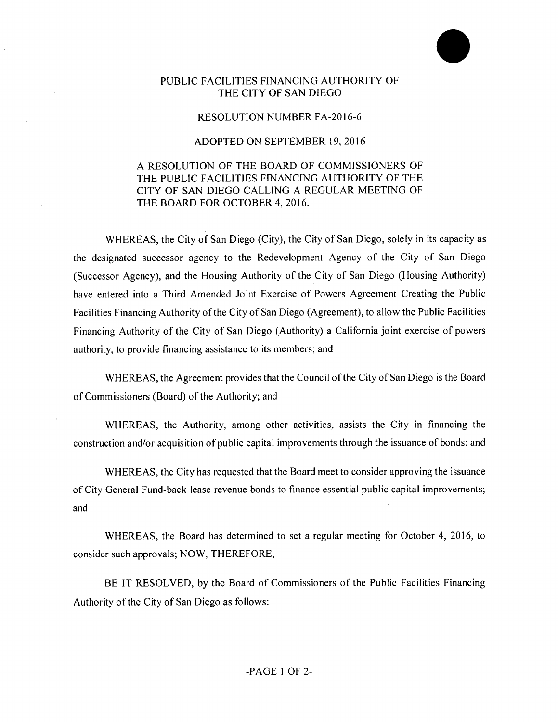## PUBLIC FACILITIES FINANCING AUTHORITY OF THE CITY OF SAN DIEGO

## RESOLUTION NUMBER FA-2016-6

## ADOPTED ON SEPTEMBER 19, 2016

## A RESOLUTION OF THE BOARD OF COMMISSIONERS OF THE PUBLIC FACILITIES FINANCING AUTHORITY OF THE CITY OF SAN DIEGO CALLING A REGULAR MEETING OF THE BOARD FOR OCTOBER 4, 2016.

WHEREAS, the City of San Diego (City), the City of San Diego, solely in its capacity as the designated successor agency to the Redevelopment Agency of the City of San Diego (Successor Agency), and the Housing Authority of the City of San Diego (Housing Authority) have entered into a Third Amended Joint Exercise of Powers Agreement Creating the Public Facilities Financing Authority of the City of San Diego (Agreement), to allow the Public Facilities Financing Authority of the City of San Diego (Authority) a California joint exercise of powers authority, to provide financing assistance to its members; and

WHEREAS, the Agreement provides that the Council of the City of San Diego is the Board of Commissioners (Board) of the Authority; and

WHEREAS, the Authority, among other activities, assists the City in financing the construction and/or acquisition of public capital improvements through the issuance of bonds; and

WHEREAS, the City has requested that the Board meet to consider approving the issuance ofCity General Fund-back lease revenue bonds to finance essential public capital improvements; and

WHEREAS, the Board has determined to set a regular meeting for October 4, 2016, to consider such approvals; NOW, THEREFORE,

BE IT RESOLVED, by the Board of Commissioners of the Public Facilities Financing Authority of the City of San Diego as follows: